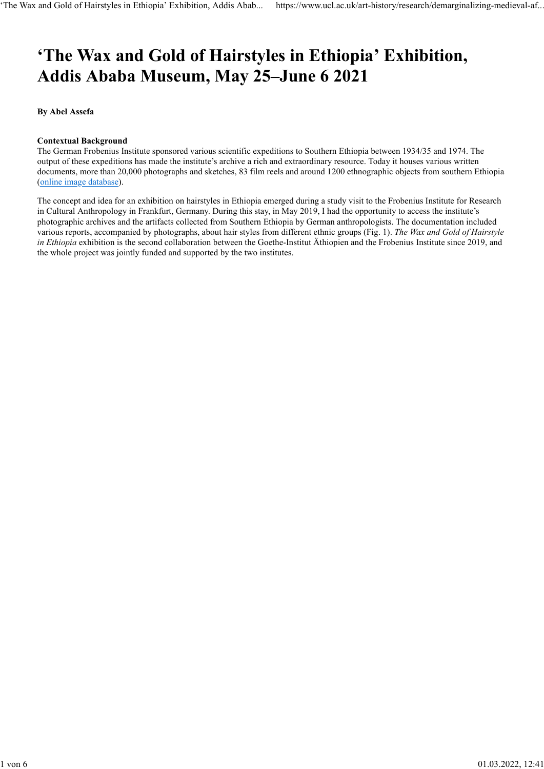# 'The Wax and Gold of Hairstyles in Ethiopia' Exhibition, Addis Ababa Museum, May 25–June 6 2021

By Abel Assefa

## Contextual Background

The German Frobenius Institute sponsored various scientific expeditions to Southern Ethiopia between 1934/35 and 1974. The output of these expeditions has made the institute's archive a rich and extraordinary resource. Today it houses various written documents, more than 20,000 photographs and sketches, 83 film reels and around 1200 ethnographic objects from southern Ethiopia (online image database).

The concept and idea for an exhibition on hairstyles in Ethiopia emerged during a study visit to the Frobenius Institute for Research in Cultural Anthropology in Frankfurt, Germany. During this stay, in May 2019, I had the opportunity to access the institute's photographic archives and the artifacts collected from Southern Ethiopia by German anthropologists. The documentation included various reports, accompanied by photographs, about hair styles from different ethnic groups (Fig. 1). The Wax and Gold of Hairstyle in Ethiopia exhibition is the second collaboration between the Goethe-Institut Äthiopien and the Frobenius Institute since 2019, and the whole project was jointly funded and supported by the two institutes.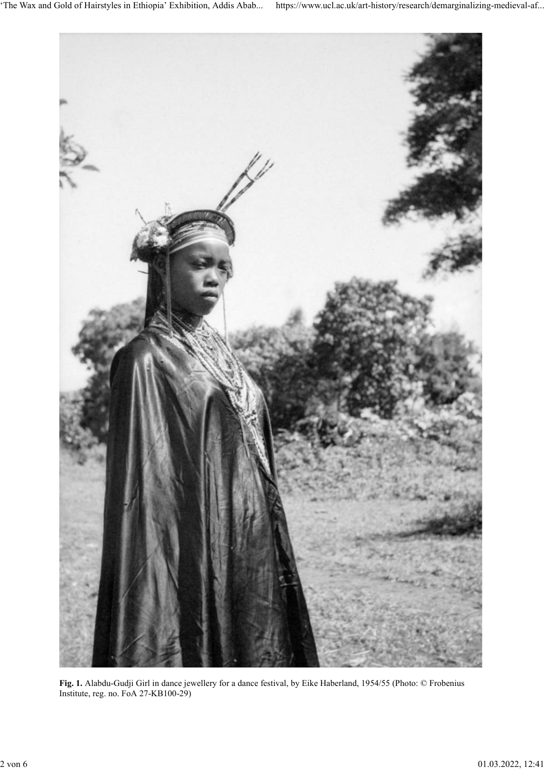

Fig. 1. Alabdu-Gudji Girl in dance jewellery for a dance festival, by Eike Haberland, 1954/55 (Photo: © Frobenius Institute, reg. no. FoA 27-KB100-29)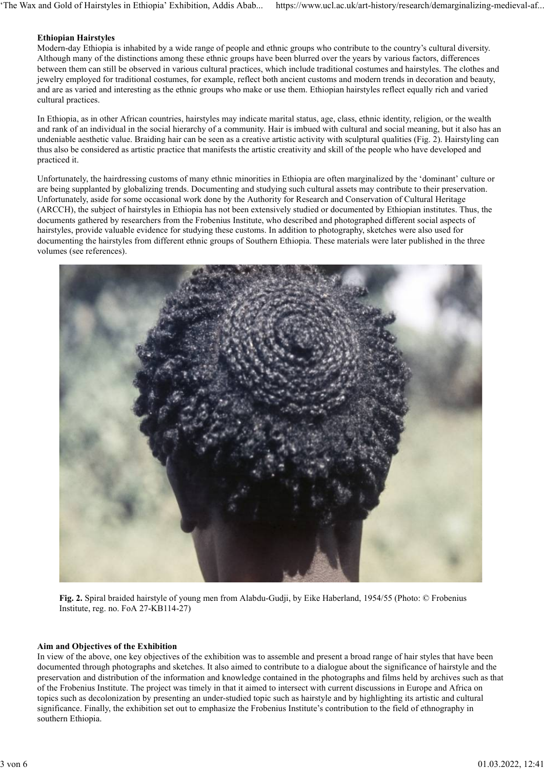## Ethiopian Hairstyles

Modern-day Ethiopia is inhabited by a wide range of people and ethnic groups who contribute to the country's cultural diversity. Although many of the distinctions among these ethnic groups have been blurred over the years by various factors, differences between them can still be observed in various cultural practices, which include traditional costumes and hairstyles. The clothes and jewelry employed for traditional costumes, for example, reflect both ancient customs and modern trends in decoration and beauty, and are as varied and interesting as the ethnic groups who make or use them. Ethiopian hairstyles reflect equally rich and varied cultural practices.

In Ethiopia, as in other African countries, hairstyles may indicate marital status, age, class, ethnic identity, religion, or the wealth and rank of an individual in the social hierarchy of a community. Hair is imbued with cultural and social meaning, but it also has an undeniable aesthetic value. Braiding hair can be seen as a creative artistic activity with sculptural qualities (Fig. 2). Hairstyling can thus also be considered as artistic practice that manifests the artistic creativity and skill of the people who have developed and practiced it.

Unfortunately, the hairdressing customs of many ethnic minorities in Ethiopia are often marginalized by the 'dominant' culture or are being supplanted by globalizing trends. Documenting and studying such cultural assets may contribute to their preservation. Unfortunately, aside for some occasional work done by the Authority for Research and Conservation of Cultural Heritage (ARCCH), the subject of hairstyles in Ethiopia has not been extensively studied or documented by Ethiopian institutes. Thus, the documents gathered by researchers from the Frobenius Institute, who described and photographed different social aspects of hairstyles, provide valuable evidence for studying these customs. In addition to photography, sketches were also used for documenting the hairstyles from different ethnic groups of Southern Ethiopia. These materials were later published in the three volumes (see references).



Fig. 2. Spiral braided hairstyle of young men from Alabdu-Gudji, by Eike Haberland, 1954/55 (Photo: © Frobenius Institute, reg. no. FoA 27-KB114-27)

## Aim and Objectives of the Exhibition

In view of the above, one key objectives of the exhibition was to assemble and present a broad range of hair styles that have been documented through photographs and sketches. It also aimed to contribute to a dialogue about the significance of hairstyle and the preservation and distribution of the information and knowledge contained in the photographs and films held by archives such as that of the Frobenius Institute. The project was timely in that it aimed to intersect with current discussions in Europe and Africa on topics such as decolonization by presenting an under-studied topic such as hairstyle and by highlighting its artistic and cultural significance. Finally, the exhibition set out to emphasize the Frobenius Institute's contribution to the field of ethnography in southern Ethiopia.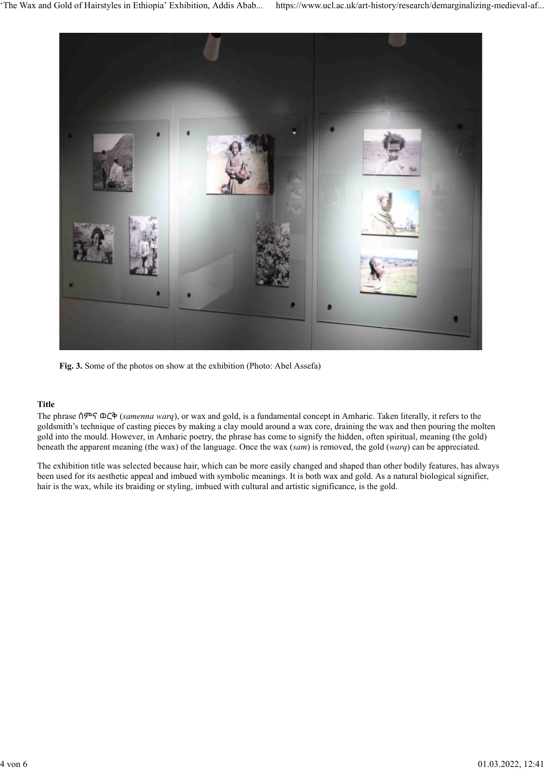

Fig. 3. Some of the photos on show at the exhibition (Photo: Abel Assefa)

## Title

goldsmith's technique of casting pieces by making a clay mould around a wax core, draining the wax and then pouring the molten gold into the mould. However, in Amharic poetry, the phrase has come to signify the hidden, often spiritual, meaning (the gold) beneath the apparent meaning (the wax) of the language. Once the wax (sam) is removed, the gold (warq) can be appreciated.

The exhibition title was selected because hair, which can be more easily changed and shaped than other bodily features, has always been used for its aesthetic appeal and imbued with symbolic meanings. It is both wax and gold. As a natural biological signifier, hair is the wax, while its braiding or styling, imbued with cultural and artistic significance, is the gold.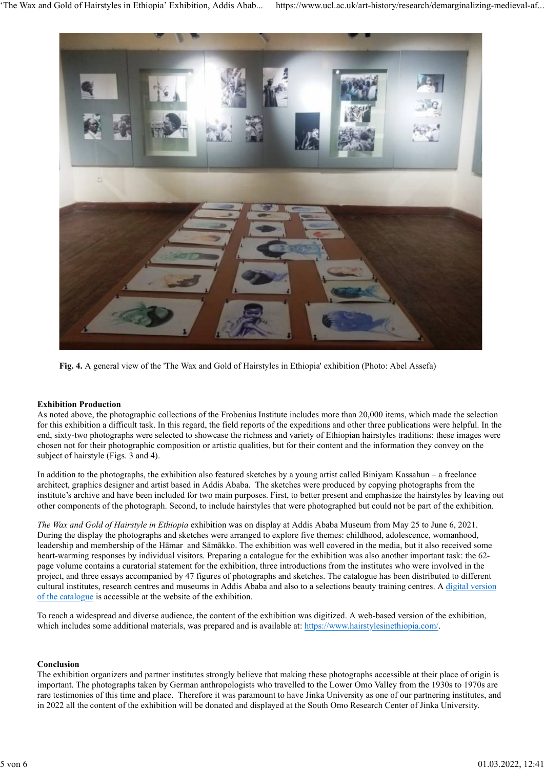

Fig. 4. A general view of the 'The Wax and Gold of Hairstyles in Ethiopia' exhibition (Photo: Abel Assefa)

## Exhibition Production

As noted above, the photographic collections of the Frobenius Institute includes more than 20,000 items, which made the selection for this exhibition a difficult task. In this regard, the field reports of the expeditions and other three publications were helpful. In the end, sixty-two photographs were selected to showcase the richness and variety of Ethiopian hairstyles traditions: these images were chosen not for their photographic composition or artistic qualities, but for their content and the information they convey on the subject of hairstyle (Figs. 3 and 4).

In addition to the photographs, the exhibition also featured sketches by a young artist called Biniyam Kassahun – a freelance architect, graphics designer and artist based in Addis Ababa. The sketches were produced by copying photographs from the institute's archive and have been included for two main purposes. First, to better present and emphasize the hairstyles by leaving out other components of the photograph. Second, to include hairstyles that were photographed but could not be part of the exhibition.

The Wax and Gold of Hairstyle in Ethiopia exhibition was on display at Addis Ababa Museum from May 25 to June 6, 2021. During the display the photographs and sketches were arranged to explore five themes: childhood, adolescence, womanhood, leadership and membership of the Hāmar and Sāmākko. The exhibition was well covered in the media, but it also received some heart-warming responses by individual visitors. Preparing a catalogue for the exhibition was also another important task: the 62 page volume contains a curatorial statement for the exhibition, three introductions from the institutes who were involved in the project, and three essays accompanied by 47 figures of photographs and sketches. The catalogue has been distributed to different cultural institutes, research centres and museums in Addis Ababa and also to a selections beauty training centres. A digital version of the catalogue is accessible at the website of the exhibition.

To reach a widespread and diverse audience, the content of the exhibition was digitized. A web-based version of the exhibition, which includes some additional materials, was prepared and is available at: https://www.hairstylesinethiopia.com/.

## Conclusion

The exhibition organizers and partner institutes strongly believe that making these photographs accessible at their place of origin is important. The photographs taken by German anthropologists who travelled to the Lower Omo Valley from the 1930s to 1970s are rare testimonies of this time and place. Therefore it was paramount to have Jinka University as one of our partnering institutes, and in 2022 all the content of the exhibition will be donated and displayed at the South Omo Research Center of Jinka University.